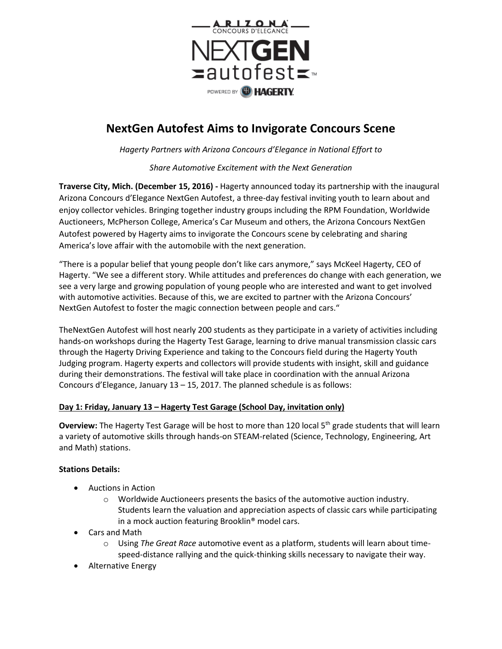

# **NextGen Autofest Aims to Invigorate Concours Scene**

*Hagerty Partners with Arizona Concours d'Elegance in National Effort to*

*Share Automotive Excitement with the Next Generation*

**Traverse City, Mich. (December 15, 2016) -** Hagerty announced today its partnership with the inaugural Arizona Concours d'Elegance NextGen Autofest, a three-day festival inviting youth to learn about and enjoy collector vehicles. Bringing together industry groups including the RPM Foundation, Worldwide Auctioneers, McPherson College, America's Car Museum and others, the Arizona Concours NextGen Autofest powered by Hagerty aims to invigorate the Concours scene by celebrating and sharing America's love affair with the automobile with the next generation.

"There is a popular belief that young people don't like cars anymore," says McKeel Hagerty, CEO of Hagerty. "We see a different story. While attitudes and preferences do change with each generation, we see a very large and growing population of young people who are interested and want to get involved with automotive activities. Because of this, we are excited to partner with the Arizona Concours' NextGen Autofest to foster the magic connection between people and cars."

TheNextGen Autofest will host nearly 200 students as they participate in a variety of activities including hands-on workshops during the Hagerty Test Garage, learning to drive manual transmission classic cars through the Hagerty Driving Experience and taking to the Concours field during the Hagerty Youth Judging program. Hagerty experts and collectors will provide students with insight, skill and guidance during their demonstrations. The festival will take place in coordination with the annual Arizona Concours d'Elegance, January 13 – 15, 2017. The planned schedule is as follows:

### **Day 1: Friday, January 13 – Hagerty Test Garage (School Day, invitation only)**

**Overview:** The Hagerty Test Garage will be host to more than 120 local 5<sup>th</sup> grade students that will learn a variety of automotive skills through hands-on STEAM-related (Science, Technology, Engineering, Art and Math) stations.

### **Stations Details:**

- Auctions in Action
	- $\circ$  Worldwide Auctioneers presents the basics of the automotive auction industry. Students learn the valuation and appreciation aspects of classic cars while participating in a mock auction featuring Brooklin® model cars.
- Cars and Math
	- o Using *The Great Race* automotive event as a platform, students will learn about timespeed-distance rallying and the quick-thinking skills necessary to navigate their way.
- Alternative Energy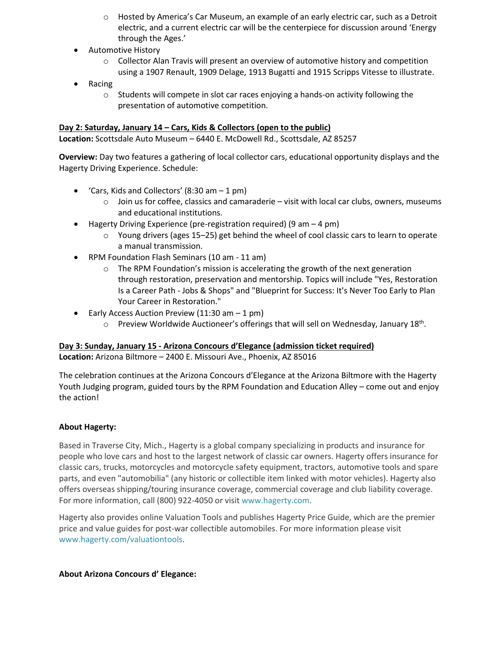- $\circ$  Hosted by America's Car Museum, an example of an early electric car, such as a Detroit electric, and a current electric car will be the centerpiece for discussion around 'Energy through the Ages.'
- **•** Automotive History
	- $\circ$  Collector Alan Travis will present an overview of automotive history and competition using a 1907 Renault, 1909 Delage, 1913 Bugatti and 1915 Scripps Vitesse to illustrate.
- Racing
	- $\circ$  Students will compete in slot car races enjoying a hands-on activity following the presentation of automotive competition.

### **Day 2: Saturday, January 14 – Cars, Kids & Collectors (open to the public)**

**Location:** Scottsdale Auto Museum – 6440 E. McDowell Rd., Scottsdale, AZ 85257

**Overview:** Day two features a gathering of local collector cars, educational opportunity displays and the Hagerty Driving Experience. Schedule:

- 'Cars, Kids and Collectors'  $(8:30 \text{ am} 1 \text{ pm})$ 
	- $\circ$  Join us for coffee, classics and camaraderie visit with local car clubs, owners, museums and educational institutions.
- $\bullet$  Hagerty Driving Experience (pre-registration required) (9 am  $-4$  pm)
	- $\circ$  Young drivers (ages 15–25) get behind the wheel of cool classic cars to learn to operate a manual transmission.
- RPM Foundation Flash Seminars (10 am 11 am)
	- $\circ$  The RPM Foundation's mission is accelerating the growth of the next generation through restoration, preservation and mentorship. Topics will include "Yes, Restoration Is a Career Path - Jobs & Shops" and "Blueprint for Success: It's Never Too Early to Plan Your Career in Restoration."
- Early Access Auction Preview  $(11:30 \text{ am} 1 \text{ pm})$ 
	- $\circ$  Preview Worldwide Auctioneer's offerings that will sell on Wednesday, January 18<sup>th</sup>.

## **Day 3: Sunday, January 15 - Arizona Concours d'Elegance (admission ticket required)**

**Location:** Arizona Biltmore – 2400 E. Missouri Ave., Phoenix, AZ 85016

The celebration continues at the Arizona Concours d'Elegance at the Arizona Biltmore with the Hagerty Youth Judging program, guided tours by the RPM Foundation and Education Alley – come out and enjoy the action!

### **About Hagerty:**

Based in Traverse City, Mich., Hagerty is a global company specializing in products and insurance for people who love cars and host to the largest network of classic car owners. Hagerty offers insurance for classic cars, trucks, motorcycles and motorcycle safety equipment, tractors, automotive tools and spare parts, and even "automobilia" (any historic or collectible item linked with motor vehicles). Hagerty also offers overseas shipping/touring insurance coverage, commercial coverage and club liability coverage. For more information, call (800) 922-4050 or visit [www.hagerty.com.](http://www.hagerty.com/)

Hagerty also provides online Valuation Tools and publishes Hagerty Price Guide, which are the premier price and value guides for post-war collectible automobiles. For more information please visit [www.hagerty.com/valuationtools.](http://www.hagerty.com/valuationtools)

### **About Arizona Concours d' Elegance:**